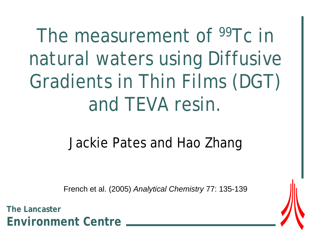## The measurement of <sup>99</sup>Tc in natural waters using Diffusive Gradients in Thin Films (DGT) and TEVA resin.

### Jackie Pates and Hao Zhang

French et al. (2005) *Analytical Chemistry* 77: 135-139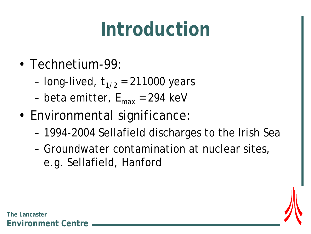### **Introduction**

- Technetium-99:
	- long-lived,  $t_{1/2}$  = 211000 years
	- beta emitter,  $E_{\text{max}}$  = 294 keV
- Environmental significance:
	- 1994-2004 Sellafield discharges to the Irish Sea
	- Groundwater contamination at nuclear sites, e.g. Sellafield, Hanford

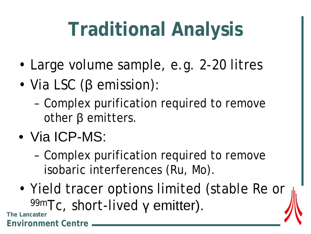# **Traditional Analysis**

- Large volume sample, e.g. 2-20 litres
- Via LSC (β emission):
	- Complex purification required to remove other β emitters.
- Via ICP-MS:
	- Complex purification required to remove isobaric interferences (Ru, Mo).
- Yield tracer options limited (stable Re or **99mTc, short-lived γ emitter).** The Lancaster

**Environment Centre**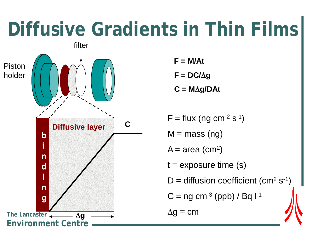### **Diffusive Gradients in Thin Films**

Piston holder



- $F = M/At$
- **F = DC/**∆**g**
- **C = M**∆**g/DAt**
- $F = flux (ng cm<sup>-2</sup> s<sup>-1</sup>)$
- $M =$  mass (ng)
- $A = area (cm<sup>2</sup>)$
- $t =$  exposure time  $(s)$
- $D =$  diffusion coefficient (cm<sup>2</sup> s<sup>-1</sup>)
- $C = ng cm<sup>-3</sup> (ppb) / Bq l<sup>-1</sup>$

 $\Delta g = \text{cm}$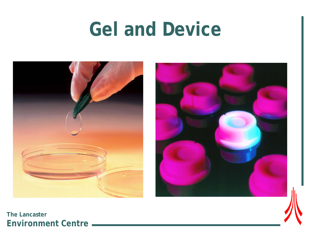### **Gel and Device**



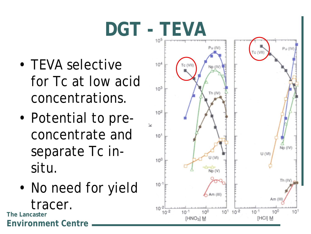# **DGT - TEVA**

- TEVA selective for Tc at low acid concentrations.
- Potential to preconcentrate and separate Tc insitu.
- No need for yield tracer. **The Lancaster**

**Environment Centre**

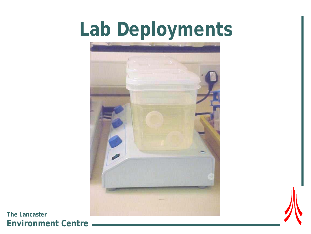## **Lab Deployments**

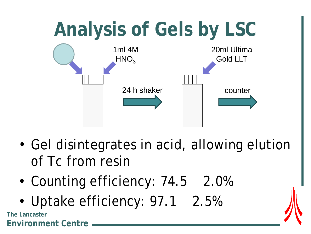

- Gel disintegrates in acid, allowing elution of Tc from resin
- Counting efficiency: 74.5 2.0%
- Uptake efficiency: 97.1 2.5%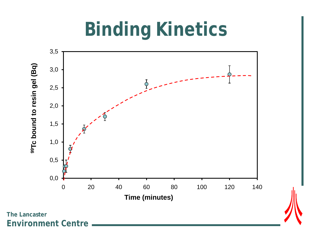## **Binding Kinetics**

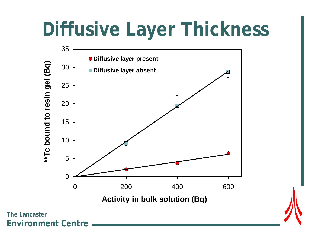### **Diffusive Layer Thickness**

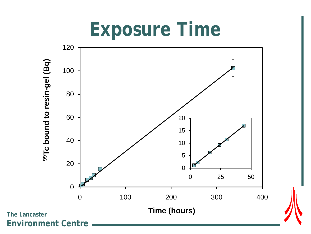### **Exposure Time**

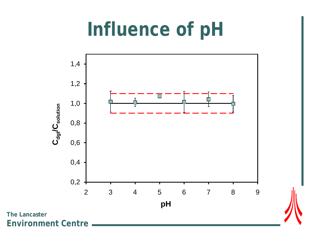### **Influence of pH**

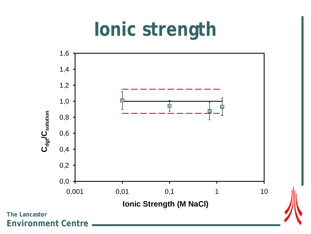### **Ionic strength**

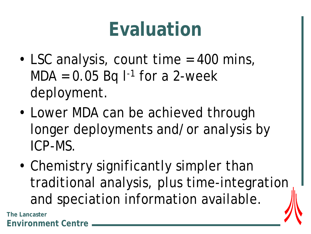### **Evaluation**

- LSC analysis, count time = 400 mins,  $MDA = 0.05$  Bq  $I^{-1}$  for a 2-week deployment.
- Lower MDA can be achieved through longer deployments and/or analysis by ICP-MS.
- Chemistry significantly simpler than traditional analysis, plus time-integration and speciation information available.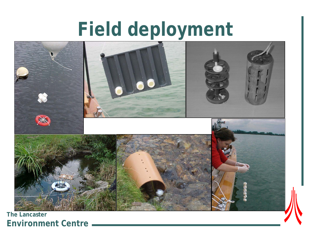### **Field deployment**